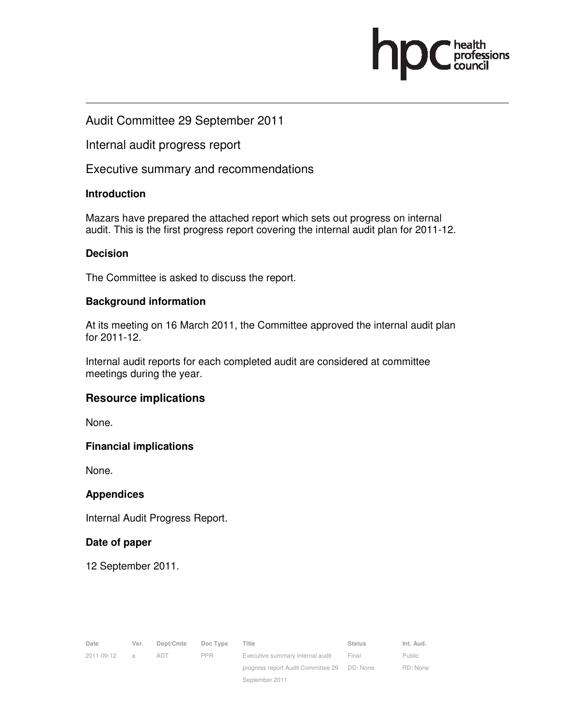### Audit Committee 29 September 2011

Internal audit progress report

Executive summary and recommendations

#### **Introduction**

Mazars have prepared the attached report which sets out progress on internal audit. This is the first progress report covering the internal audit plan for 2011-12.

#### **Decision**

The Committee is asked to discuss the report.

#### **Background information**

At its meeting on 16 March 2011, the Committee approved the internal audit plan for 2011-12.

Internal audit reports for each completed audit are considered at committee meetings during the year.

#### **Resource implications**

None.

#### **Financial implications**

None.

#### **Appendices**

Internal Audit Progress Report.

#### **Date of paper**

12 September 2011.

| Date       | Ver.           | Dept/Cmte  | Doc Type   | Title                                       | <b>Status</b> | Int. Aud. |
|------------|----------------|------------|------------|---------------------------------------------|---------------|-----------|
| 2011-09-12 | $\overline{a}$ | <b>ADT</b> | <b>PPR</b> | Executive summary internal audit            | Final         | Public    |
|            |                |            |            | progress report Audit Committee 29 DD: None |               | RD: None  |
|            |                |            |            | September 2011                              |               |           |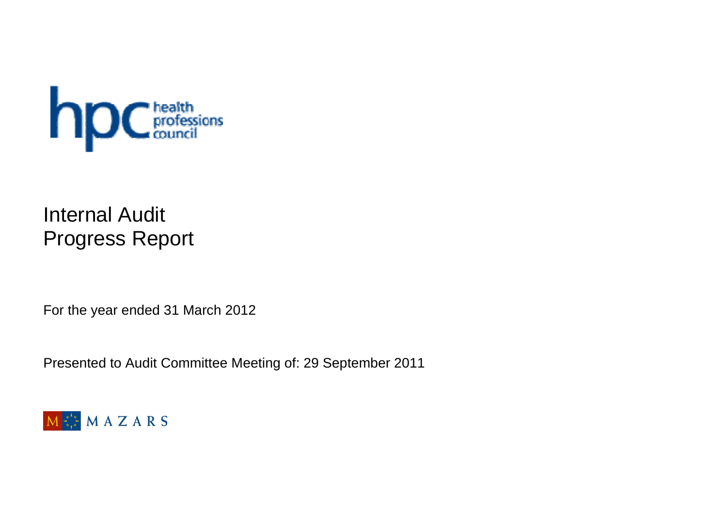

# Internal Audit Progress Report

For the year ended 31 March 2012

Presented to Audit Committee Meeting of: 29 September 2011

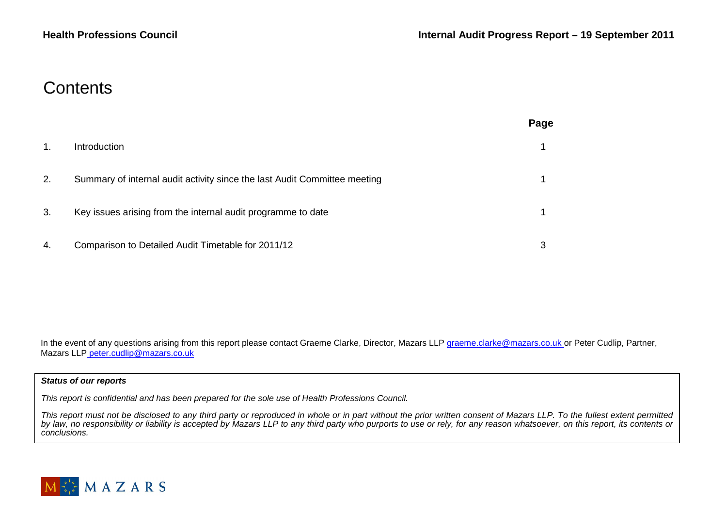### **Contents**

|    |                                                                           | Page |
|----|---------------------------------------------------------------------------|------|
| 1. | Introduction                                                              |      |
| 2. | Summary of internal audit activity since the last Audit Committee meeting |      |
| 3. | Key issues arising from the internal audit programme to date              |      |
| 4. | Comparison to Detailed Audit Timetable for 2011/12                        | 3    |

In the event of any questions arising from this report please contact Graeme Clarke, Director, Mazars LLP graeme.clarke@mazars.co.uk or Peter Cudlip, Partner, Mazars LLP peter.cudlip@mazars.co.uk

#### **Status of our reports**

This report is confidential and has been prepared for the sole use of Health Professions Council.

This report must not be disclosed to any third party or reproduced in whole or in part without the prior written consent of Mazars LLP. To the fullest extent permitted<br>by law, no responsibility or liability is accepted by conclusions.

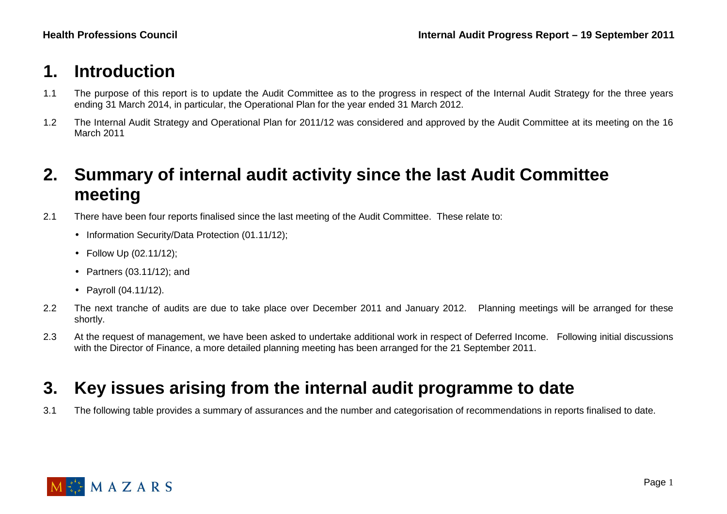### **1. Introduction**

- 1.1 The purpose of this report is to update the Audit Committee as to the progress in respect of the Internal Audit Strategy for the three years ending 31 March 2014, in particular, the Operational Plan for the year ended 31 March 2012.
- 1.2 The Internal Audit Strategy and Operational Plan for 2011/12 was considered and approved by the Audit Committee at its meeting on the 16 March 2011

### **2. Summary of internal audit activity since the last Audit Committee meeting**

- 2.1 There have been four reports finalised since the last meeting of the Audit Committee. These relate to:
	- Information Security/Data Protection (01.11/12);
	- Follow Up (02.11/12);
	- Partners (03.11/12); and
	- Payroll (04.11/12).
- 2.2 The next tranche of audits are due to take place over December 2011 and January 2012. Planning meetings will be arranged for these shortly.
- 2.3 At the request of management, we have been asked to undertake additional work in respect of Deferred Income. Following initial discussions with the Director of Finance, a more detailed planning meeting has been arranged for the 21 September 2011.

## **3. Key issues arising from the internal audit programme to date**

3.1 The following table provides a summary of assurances and the number and categorisation of recommendations in reports finalised to date.

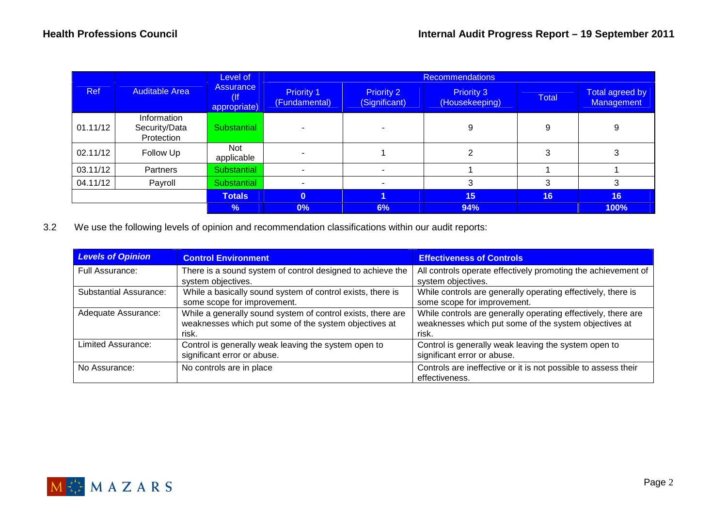|          | <b>Auditable Area</b>                      | Level of                         | <b>Recommendations</b>             |                                    |                                     |              |                                      |  |
|----------|--------------------------------------------|----------------------------------|------------------------------------|------------------------------------|-------------------------------------|--------------|--------------------------------------|--|
| Ref      |                                            | <b>Assurance</b><br>appropriate) | <b>Priority 1</b><br>(Fundamental) | <b>Priority 2</b><br>(Significant) | <b>Priority 3</b><br>(Housekeeping) | <b>Total</b> | <b>Total agreed by</b><br>Management |  |
| 01.11/12 | Information<br>Security/Data<br>Protection | Substantial                      |                                    |                                    | 9                                   | 9            | 9                                    |  |
| 02.11/12 | Follow Up                                  | Not<br>applicable                |                                    |                                    |                                     |              | 3                                    |  |
| 03.11/12 | Partners                                   | Substantial                      |                                    |                                    |                                     |              |                                      |  |
| 04.11/12 | Payroll                                    | Substantial                      |                                    |                                    | з                                   |              | 3                                    |  |
|          |                                            | <b>Totals</b>                    | $\mathbf{0}$                       |                                    | 15                                  | 16           | 16                                   |  |
|          |                                            | %                                | $0\%$                              | 6%                                 | 94%                                 |              | 100%                                 |  |

3.2 We use the following levels of opinion and recommendation classifications within our audit reports:

| <b>Levels of Opinion</b>      | <b>Control Environment</b>                                  | <b>Effectiveness of Controls</b>                               |
|-------------------------------|-------------------------------------------------------------|----------------------------------------------------------------|
| Full Assurance:               | There is a sound system of control designed to achieve the  | All controls operate effectively promoting the achievement of  |
|                               | system objectives.                                          | system objectives.                                             |
| <b>Substantial Assurance:</b> | While a basically sound system of control exists, there is  | While controls are generally operating effectively, there is   |
|                               | some scope for improvement.                                 | some scope for improvement.                                    |
| Adequate Assurance:           | While a generally sound system of control exists, there are | While controls are generally operating effectively, there are  |
|                               | weaknesses which put some of the system objectives at       | weaknesses which put some of the system objectives at          |
|                               | risk.                                                       | risk.                                                          |
| Limited Assurance:            | Control is generally weak leaving the system open to        | Control is generally weak leaving the system open to           |
|                               | significant error or abuse.                                 | significant error or abuse.                                    |
| No Assurance:                 | No controls are in place                                    | Controls are ineffective or it is not possible to assess their |
|                               |                                                             | effectiveness.                                                 |

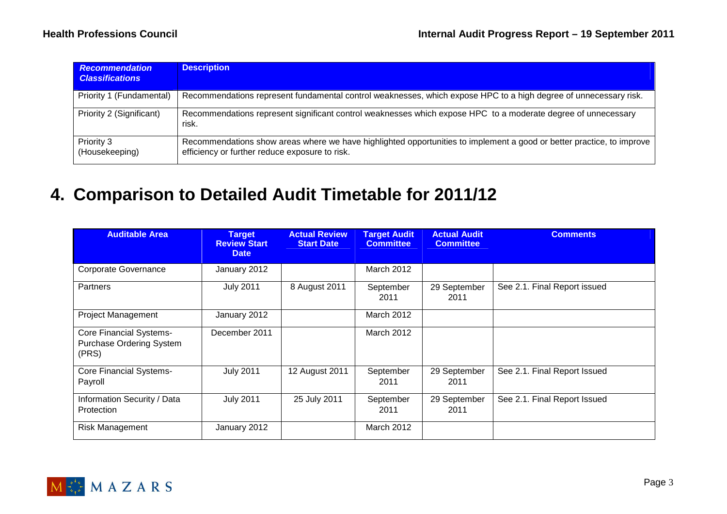| <b>Recommendation</b><br><b>Classifications</b> | <b>Description</b>                                                                                                                                                      |
|-------------------------------------------------|-------------------------------------------------------------------------------------------------------------------------------------------------------------------------|
| Priority 1 (Fundamental)                        | Recommendations represent fundamental control weaknesses, which expose HPC to a high degree of unnecessary risk.                                                        |
| Priority 2 (Significant)                        | Recommendations represent significant control weaknesses which expose HPC to a moderate degree of unnecessary<br>risk.                                                  |
| Priority 3<br>(Housekeeping)                    | Recommendations show areas where we have highlighted opportunities to implement a good or better practice, to improve<br>efficiency or further reduce exposure to risk. |

## **4. Comparison to Detailed Audit Timetable for 2011/12**

| <b>Auditable Area</b>                                                      | <b>Target</b><br><b>Review Start</b><br><b>Date</b> | <b>Actual Review</b><br><b>Start Date</b> | <b>Target Audit</b><br><b>Committee</b> | <b>Actual Audit</b><br><b>Committee</b> | <b>Comments</b>              |
|----------------------------------------------------------------------------|-----------------------------------------------------|-------------------------------------------|-----------------------------------------|-----------------------------------------|------------------------------|
| Corporate Governance                                                       | January 2012                                        |                                           | <b>March 2012</b>                       |                                         |                              |
| <b>Partners</b>                                                            | <b>July 2011</b>                                    | 8 August 2011                             | September<br>2011                       | 29 September<br>2011                    | See 2.1. Final Report issued |
| Project Management                                                         | January 2012                                        |                                           | March 2012                              |                                         |                              |
| <b>Core Financial Systems-</b><br><b>Purchase Ordering System</b><br>(PRS) | December 2011                                       |                                           | March 2012                              |                                         |                              |
| <b>Core Financial Systems-</b><br>Payroll                                  | <b>July 2011</b>                                    | 12 August 2011                            | September<br>2011                       | 29 September<br>2011                    | See 2.1. Final Report Issued |
| Information Security / Data<br>Protection                                  | <b>July 2011</b>                                    | 25 July 2011                              | September<br>2011                       | 29 September<br>2011                    | See 2.1. Final Report Issued |
| Risk Management                                                            | January 2012                                        |                                           | March 2012                              |                                         |                              |